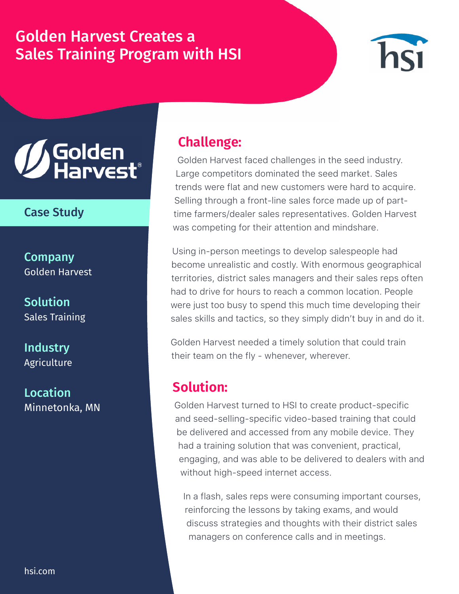# Golden Harvest Creates a Sales Training Program with HSI



# **// Golden<br>// Harvest**

#### Case Study

**Company** Golden Harvest

**Solution** Sales Training

**Industry Agriculture** 

Location Minnetonka, MN

## **Challenge:**

Golden Harvest faced challenges in the seed industry. Large competitors dominated the seed market. Sales trends were flat and new customers were hard to acquire. Selling through a front-line sales force made up of parttime farmers/dealer sales representatives. Golden Harvest was competing for their attention and mindshare.

Using in-person meetings to develop salespeople had become unrealistic and costly. With enormous geographical territories, district sales managers and their sales reps often had to drive for hours to reach a common location. People were just too busy to spend this much time developing their sales skills and tactics, so they simply didn't buy in and do it.

Golden Harvest needed a timely solution that could train their team on the fly - whenever, wherever.

## **Solution:**

Golden Harvest turned to HSI to create product-specific and seed-selling-specific video-based training that could be delivered and accessed from any mobile device. They had a training solution that was convenient, practical, engaging, and was able to be delivered to dealers with and without high-speed internet access.

In a flash, sales reps were consuming important courses, reinforcing the lessons by taking exams, and would discuss strategies and thoughts with their district sales managers on conference calls and in meetings.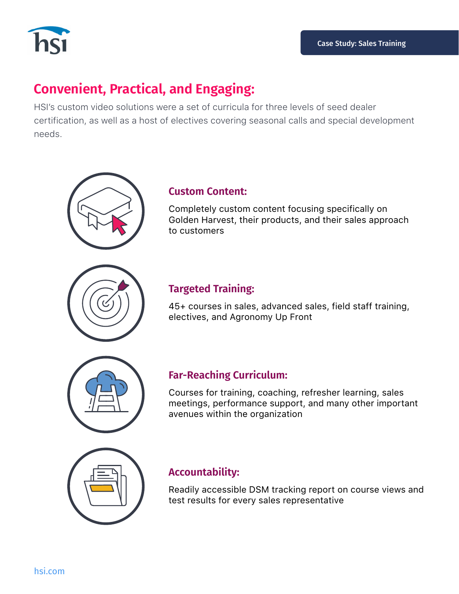

## **Convenient, Practical, and Engaging:**

HSI's custom video solutions were a set of curricula for three levels of seed dealer certification, as well as a host of electives covering seasonal calls and special development needs.



#### **Custom Content:**

Completely custom content focusing specifically on Golden Harvest, their products, and their sales approach to customers

#### **Targeted Training:**

45+ courses in sales, advanced sales, field staff training, electives, and Agronomy Up Front



#### **Far-Reaching Curriculum:**

Courses for training, coaching, refresher learning, sales meetings, performance support, and many other important avenues within the organization



#### **Accountability:**

Readily accessible DSM tracking report on course views and test results for every sales representative